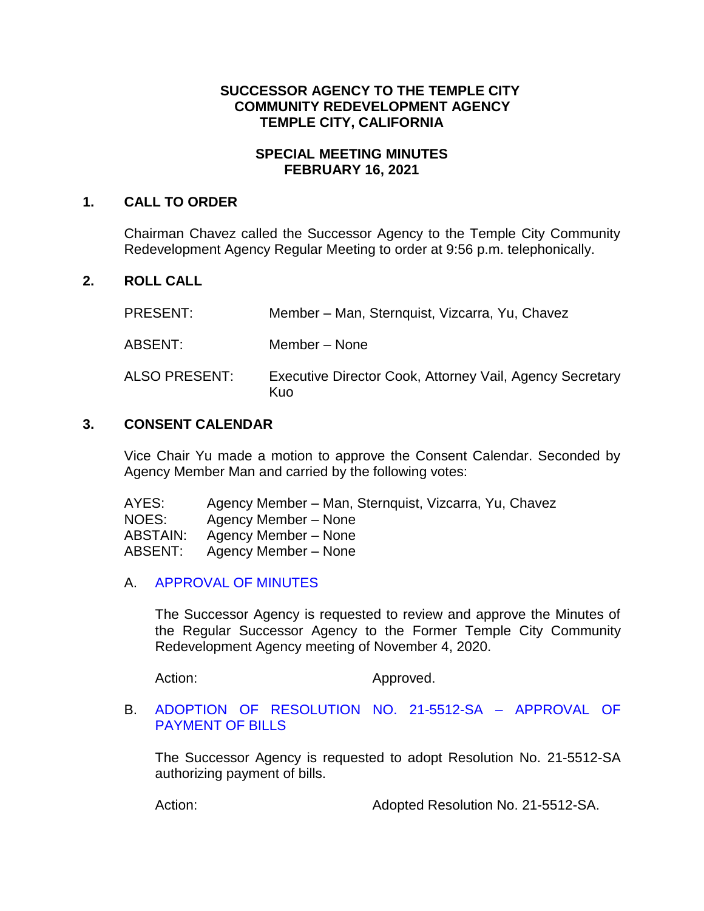### **SUCCESSOR AGENCY TO THE TEMPLE CITY COMMUNITY REDEVELOPMENT AGENCY TEMPLE CITY, CALIFORNIA**

#### **SPECIAL MEETING MINUTES FEBRUARY 16, 2021**

### **1. CALL TO ORDER**

Chairman Chavez called the Successor Agency to the Temple City Community Redevelopment Agency Regular Meeting to order at 9:56 p.m. telephonically.

# **2. ROLL CALL**

| <b>PRESENT:</b> | Member – Man, Sternquist, Vizcarra, Yu, Chavez                  |
|-----------------|-----------------------------------------------------------------|
| ABSENT:         | Member - None                                                   |
| ALSO PRESENT:   | Executive Director Cook, Attorney Vail, Agency Secretary<br>Kuo |

## **3. CONSENT CALENDAR**

Vice Chair Yu made a motion to approve the Consent Calendar. Seconded by Agency Member Man and carried by the following votes:

| AYES:    | Agency Member – Man, Sternquist, Vizcarra, Yu, Chavez |
|----------|-------------------------------------------------------|
| NOES:    | Agency Member – None                                  |
| ABSTAIN: | Agency Member – None                                  |
| ABSENT:  | Agency Member – None                                  |

### A. [APPROVAL OF MINUTES](https://ca-templecity.civicplus.com/DocumentCenter/View/15784/3A_SA-Minutes---2020-11-04)

The Successor Agency is requested to review and approve the Minutes of the Regular Successor Agency to the Former Temple City Community Redevelopment Agency meeting of November 4, 2020.

Action: Approved.

### B. ADOPTION [OF RESOLUTION NO. 21-5512-SA –](https://ca-templecity.civicplus.com/DocumentCenter/View/15785/3B_Reso-No-21-5512-SA-21621---Warrants--Demands-FY-2020-21) APPROVAL OF [PAYMENT OF BILLS](https://ca-templecity.civicplus.com/DocumentCenter/View/15785/3B_Reso-No-21-5512-SA-21621---Warrants--Demands-FY-2020-21)

The Successor Agency is requested to adopt Resolution No. 21-5512-SA authorizing payment of bills.

Action: Adopted Resolution No. 21-5512-SA.